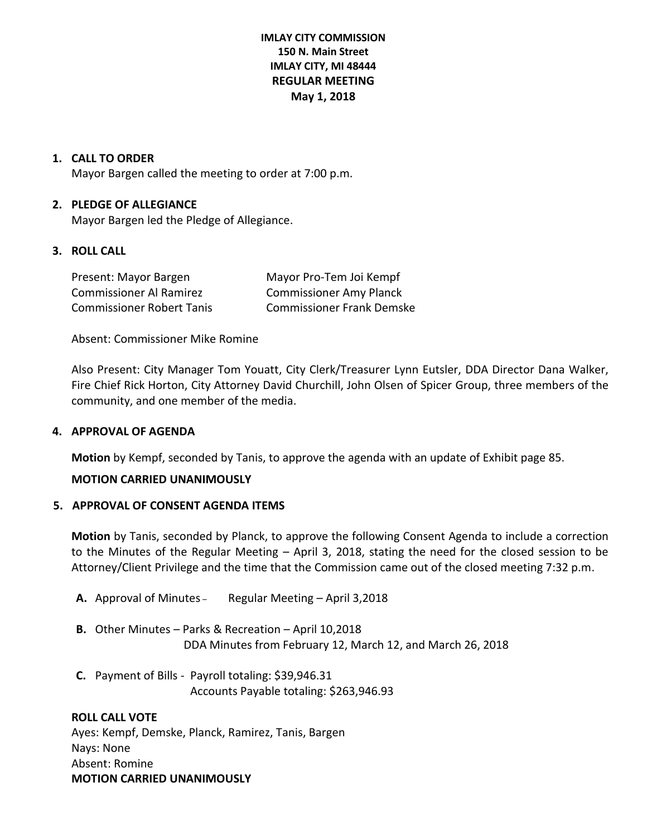# **IMLAY CITY COMMISSION 150 N. Main Street IMLAY CITY, MI 48444 REGULAR MEETING May 1, 2018**

## **1. CALL TO ORDER**

Mayor Bargen called the meeting to order at 7:00 p.m.

## **2. PLEDGE OF ALLEGIANCE**

Mayor Bargen led the Pledge of Allegiance.

### **3. ROLL CALL**

Present: Mayor Bargen Mayor Pro-Tem Joi Kempf Commissioner Al Ramirez Commissioner Amy Planck Commissioner Robert Tanis Commissioner Frank Demske

Absent: Commissioner Mike Romine

Also Present: City Manager Tom Youatt, City Clerk/Treasurer Lynn Eutsler, DDA Director Dana Walker, Fire Chief Rick Horton, City Attorney David Churchill, John Olsen of Spicer Group, three members of the community, and one member of the media.

## **4. APPROVAL OF AGENDA**

**Motion** by Kempf, seconded by Tanis, to approve the agenda with an update of Exhibit page 85.

# **MOTION CARRIED UNANIMOUSLY**

#### **5. APPROVAL OF CONSENT AGENDA ITEMS**

**Motion** by Tanis, seconded by Planck, to approve the following Consent Agenda to include a correction to the Minutes of the Regular Meeting – April 3, 2018, stating the need for the closed session to be Attorney/Client Privilege and the time that the Commission came out of the closed meeting 7:32 p.m.

- **A.** Approval of Minutes Regular Meeting April 3,2018
- **B.** Other Minutes Parks & Recreation April 10,2018 DDA Minutes from February 12, March 12, and March 26, 2018
- **C.** Payment of Bills Payroll totaling: \$39,946.31 Accounts Payable totaling: \$263,946.93

**ROLL CALL VOTE** Ayes: Kempf, Demske, Planck, Ramirez, Tanis, Bargen Nays: None Absent: Romine **MOTION CARRIED UNANIMOUSLY**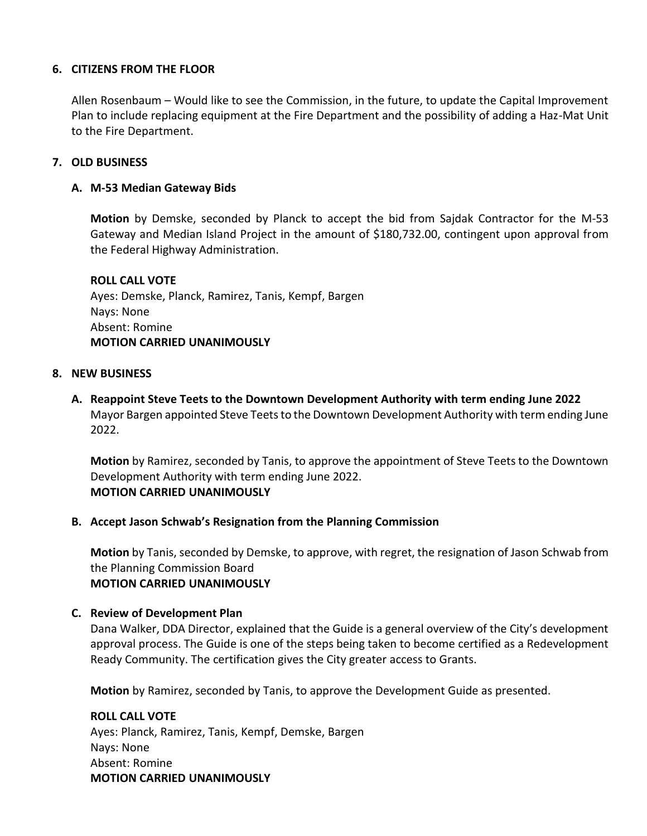# **6. CITIZENS FROM THE FLOOR**

Allen Rosenbaum – Would like to see the Commission, in the future, to update the Capital Improvement Plan to include replacing equipment at the Fire Department and the possibility of adding a Haz-Mat Unit to the Fire Department.

## **7. OLD BUSINESS**

## **A. M-53 Median Gateway Bids**

**Motion** by Demske, seconded by Planck to accept the bid from Sajdak Contractor for the M-53 Gateway and Median Island Project in the amount of \$180,732.00, contingent upon approval from the Federal Highway Administration.

**ROLL CALL VOTE** Ayes: Demske, Planck, Ramirez, Tanis, Kempf, Bargen Nays: None Absent: Romine **MOTION CARRIED UNANIMOUSLY**

#### **8. NEW BUSINESS**

**A. Reappoint Steve Teets to the Downtown Development Authority with term ending June 2022** Mayor Bargen appointed Steve Teets to the Downtown Development Authority with term ending June 2022.

**Motion** by Ramirez, seconded by Tanis, to approve the appointment of Steve Teets to the Downtown Development Authority with term ending June 2022. **MOTION CARRIED UNANIMOUSLY**

## **B. Accept Jason Schwab's Resignation from the Planning Commission**

**Motion** by Tanis, seconded by Demske, to approve, with regret, the resignation of Jason Schwab from the Planning Commission Board **MOTION CARRIED UNANIMOUSLY**

#### **C. Review of Development Plan**

Dana Walker, DDA Director, explained that the Guide is a general overview of the City's development approval process. The Guide is one of the steps being taken to become certified as a Redevelopment Ready Community. The certification gives the City greater access to Grants.

**Motion** by Ramirez, seconded by Tanis, to approve the Development Guide as presented.

**ROLL CALL VOTE** Ayes: Planck, Ramirez, Tanis, Kempf, Demske, Bargen Nays: None Absent: Romine **MOTION CARRIED UNANIMOUSLY**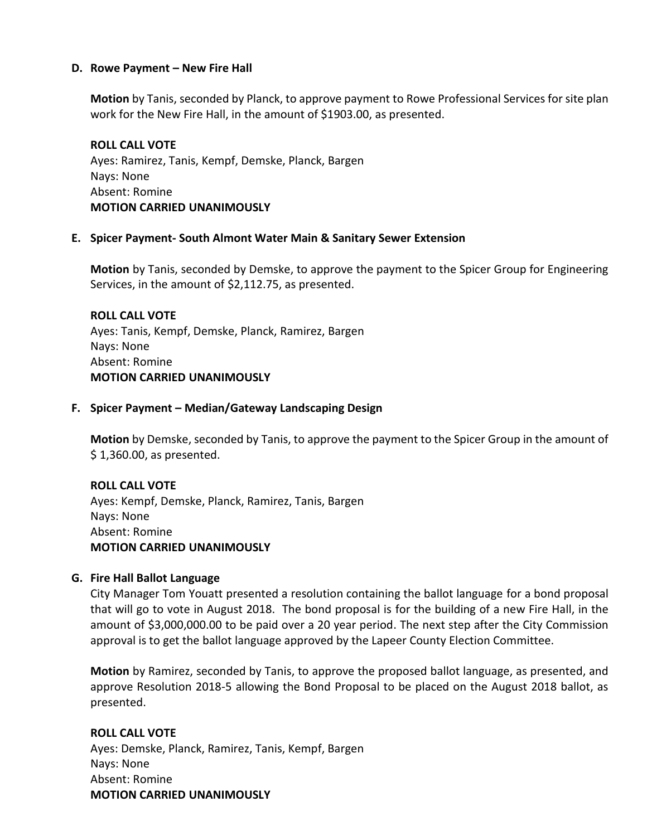#### **D. Rowe Payment – New Fire Hall**

**Motion** by Tanis, seconded by Planck, to approve payment to Rowe Professional Services for site plan work for the New Fire Hall, in the amount of \$1903.00, as presented.

**ROLL CALL VOTE** Ayes: Ramirez, Tanis, Kempf, Demske, Planck, Bargen Nays: None Absent: Romine **MOTION CARRIED UNANIMOUSLY**

### **E. Spicer Payment- South Almont Water Main & Sanitary Sewer Extension**

**Motion** by Tanis, seconded by Demske, to approve the payment to the Spicer Group for Engineering Services, in the amount of \$2,112.75, as presented.

**ROLL CALL VOTE** Ayes: Tanis, Kempf, Demske, Planck, Ramirez, Bargen Nays: None Absent: Romine **MOTION CARRIED UNANIMOUSLY**

### **F. Spicer Payment – Median/Gateway Landscaping Design**

**Motion** by Demske, seconded by Tanis, to approve the payment to the Spicer Group in the amount of \$ 1,360.00, as presented.

# **ROLL CALL VOTE** Ayes: Kempf, Demske, Planck, Ramirez, Tanis, Bargen Nays: None Absent: Romine **MOTION CARRIED UNANIMOUSLY**

## **G. Fire Hall Ballot Language**

City Manager Tom Youatt presented a resolution containing the ballot language for a bond proposal that will go to vote in August 2018. The bond proposal is for the building of a new Fire Hall, in the amount of \$3,000,000.00 to be paid over a 20 year period. The next step after the City Commission approval is to get the ballot language approved by the Lapeer County Election Committee.

**Motion** by Ramirez, seconded by Tanis, to approve the proposed ballot language, as presented, and approve Resolution 2018-5 allowing the Bond Proposal to be placed on the August 2018 ballot, as presented.

# **ROLL CALL VOTE**

Ayes: Demske, Planck, Ramirez, Tanis, Kempf, Bargen Nays: None Absent: Romine **MOTION CARRIED UNANIMOUSLY**